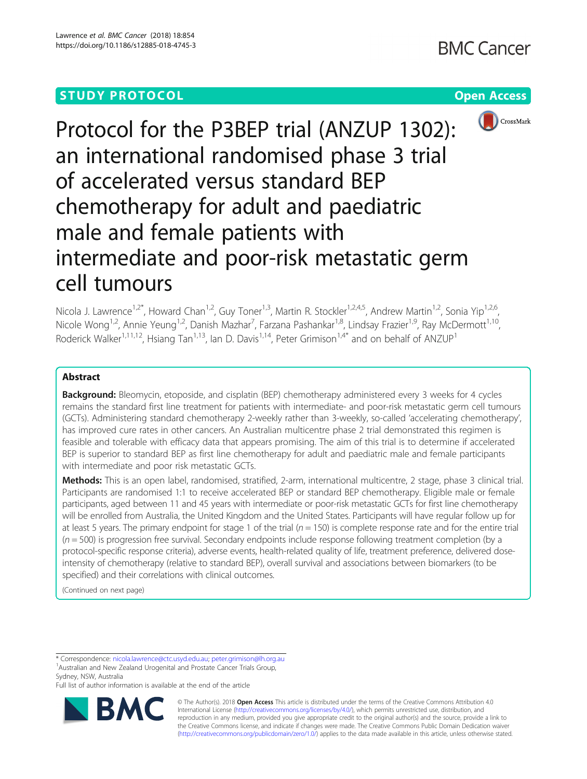

Protocol for the P3BEP trial (ANZUP 1302): an international randomised phase 3 trial of accelerated versus standard BEP chemotherapy for adult and paediatric male and female patients with intermediate and poor-risk metastatic germ cell tumours

Nicola J. Lawrence<sup>1,2\*</sup>, Howard Chan<sup>1,2</sup>, Guy Toner<sup>1,3</sup>, Martin R. Stockler<sup>1,2,4,5</sup>, Andrew Martin<sup>1,2</sup>, Sonia Yip<sup>1,2,6</sup>, Nicole Wong<sup>1,2</sup>, Annie Yeung<sup>1,2</sup>, Danish Mazhar<sup>7</sup>, Farzana Pashankar<sup>1,8</sup>, Lindsay Frazier<sup>1,9</sup>, Ray McDermott<sup>1,10</sup>, Roderick Walker<sup>1,11,12</sup>, Hsiang Tan<sup>1,13</sup>, Ian D. Davis<sup>1,14</sup>, Peter Grimison<sup>1,4\*</sup> and on behalf of ANZUP<sup>1</sup>

# Abstract

**Background:** Bleomycin, etoposide, and cisplatin (BEP) chemotherapy administered every 3 weeks for 4 cycles remains the standard first line treatment for patients with intermediate- and poor-risk metastatic germ cell tumours (GCTs). Administering standard chemotherapy 2-weekly rather than 3-weekly, so-called 'accelerating chemotherapy', has improved cure rates in other cancers. An Australian multicentre phase 2 trial demonstrated this regimen is feasible and tolerable with efficacy data that appears promising. The aim of this trial is to determine if accelerated BEP is superior to standard BEP as first line chemotherapy for adult and paediatric male and female participants with intermediate and poor risk metastatic GCTs.

Methods: This is an open label, randomised, stratified, 2-arm, international multicentre, 2 stage, phase 3 clinical trial. Participants are randomised 1:1 to receive accelerated BEP or standard BEP chemotherapy. Eligible male or female participants, aged between 11 and 45 years with intermediate or poor-risk metastatic GCTs for first line chemotherapy will be enrolled from Australia, the United Kingdom and the United States. Participants will have regular follow up for at least 5 years. The primary endpoint for stage 1 of the trial ( $n = 150$ ) is complete response rate and for the entire trial  $(n = 500)$  is progression free survival. Secondary endpoints include response following treatment completion (by a protocol-specific response criteria), adverse events, health-related quality of life, treatment preference, delivered doseintensity of chemotherapy (relative to standard BEP), overall survival and associations between biomarkers (to be specified) and their correlations with clinical outcomes.

(Continued on next page)

\* Correspondence: [nicola.lawrence@ctc.usyd.edu.au](mailto:nicola.lawrence@ctc.usyd.edu.au); [peter.grimison@lh.org.au](mailto:peter.grimison@lh.org.au) <sup>1</sup>

<sup>1</sup> Australian and New Zealand Urogenital and Prostate Cancer Trials Group, Sydney, NSW, Australia

Full list of author information is available at the end of the article



© The Author(s). 2018 Open Access This article is distributed under the terms of the Creative Commons Attribution 4.0 International License [\(http://creativecommons.org/licenses/by/4.0/](http://creativecommons.org/licenses/by/4.0/)), which permits unrestricted use, distribution, and reproduction in any medium, provided you give appropriate credit to the original author(s) and the source, provide a link to the Creative Commons license, and indicate if changes were made. The Creative Commons Public Domain Dedication waiver [\(http://creativecommons.org/publicdomain/zero/1.0/](http://creativecommons.org/publicdomain/zero/1.0/)) applies to the data made available in this article, unless otherwise stated.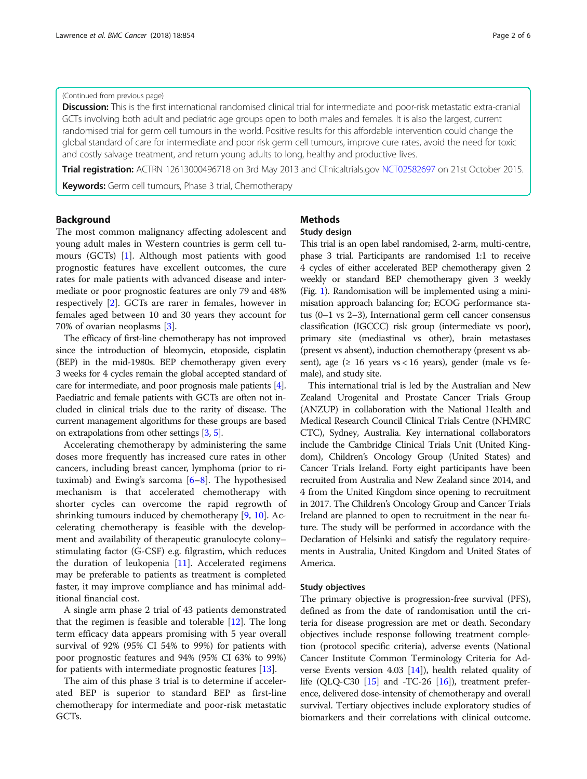#### (Continued from previous page)

Discussion: This is the first international randomised clinical trial for intermediate and poor-risk metastatic extra-cranial GCTs involving both adult and pediatric age groups open to both males and females. It is also the largest, current randomised trial for germ cell tumours in the world. Positive results for this affordable intervention could change the global standard of care for intermediate and poor risk germ cell tumours, improve cure rates, avoid the need for toxic and costly salvage treatment, and return young adults to long, healthy and productive lives.

Trial registration: ACTRN 12613000496718 on 3rd May 2013 and Clinicaltrials.gov [NCT02582697](https://www.anzctr.org.au/Trial/Registration/TrialReview.aspx?id=364125) on 21st October 2015.

Keywords: Germ cell tumours, Phase 3 trial, Chemotherapy

# Background

The most common malignancy affecting adolescent and young adult males in Western countries is germ cell tumours (GCTs) [\[1](#page-5-0)]. Although most patients with good prognostic features have excellent outcomes, the cure rates for male patients with advanced disease and intermediate or poor prognostic features are only 79 and 48% respectively [[2\]](#page-5-0). GCTs are rarer in females, however in females aged between 10 and 30 years they account for 70% of ovarian neoplasms [\[3](#page-5-0)].

The efficacy of first-line chemotherapy has not improved since the introduction of bleomycin, etoposide, cisplatin (BEP) in the mid-1980s. BEP chemotherapy given every 3 weeks for 4 cycles remain the global accepted standard of care for intermediate, and poor prognosis male patients [[4](#page-5-0)]. Paediatric and female patients with GCTs are often not included in clinical trials due to the rarity of disease. The current management algorithms for these groups are based on extrapolations from other settings [\[3](#page-5-0), [5](#page-5-0)].

Accelerating chemotherapy by administering the same doses more frequently has increased cure rates in other cancers, including breast cancer, lymphoma (prior to rituximab) and Ewing's sarcoma  $[6-8]$  $[6-8]$  $[6-8]$  $[6-8]$ . The hypothesised mechanism is that accelerated chemotherapy with shorter cycles can overcome the rapid regrowth of shrinking tumours induced by chemotherapy [[9,](#page-5-0) [10\]](#page-5-0). Accelerating chemotherapy is feasible with the development and availability of therapeutic granulocyte colony– stimulating factor (G-CSF) e.g. filgrastim, which reduces the duration of leukopenia [\[11](#page-5-0)]. Accelerated regimens may be preferable to patients as treatment is completed faster, it may improve compliance and has minimal additional financial cost.

A single arm phase 2 trial of 43 patients demonstrated that the regimen is feasible and tolerable [\[12](#page-5-0)]. The long term efficacy data appears promising with 5 year overall survival of 92% (95% CI 54% to 99%) for patients with poor prognostic features and 94% (95% CI 63% to 99%) for patients with intermediate prognostic features [[13\]](#page-5-0).

The aim of this phase 3 trial is to determine if accelerated BEP is superior to standard BEP as first-line chemotherapy for intermediate and poor-risk metastatic GCTs.

# **Methods**

#### Study design

This trial is an open label randomised, 2-arm, multi-centre, phase 3 trial. Participants are randomised 1:1 to receive 4 cycles of either accelerated BEP chemotherapy given 2 weekly or standard BEP chemotherapy given 3 weekly (Fig. [1\)](#page-2-0). Randomisation will be implemented using a minimisation approach balancing for; ECOG performance status (0–1 vs 2–3), International germ cell cancer consensus classification (IGCCC) risk group (intermediate vs poor), primary site (mediastinal vs other), brain metastases (present vs absent), induction chemotherapy (present vs absent), age  $(≥ 16 \text{ years} vs < 16 \text{ years})$ , gender (male vs female), and study site.

This international trial is led by the Australian and New Zealand Urogenital and Prostate Cancer Trials Group (ANZUP) in collaboration with the National Health and Medical Research Council Clinical Trials Centre (NHMRC CTC), Sydney, Australia. Key international collaborators include the Cambridge Clinical Trials Unit (United Kingdom), Children's Oncology Group (United States) and Cancer Trials Ireland. Forty eight participants have been recruited from Australia and New Zealand since 2014, and 4 from the United Kingdom since opening to recruitment in 2017. The Children's Oncology Group and Cancer Trials Ireland are planned to open to recruitment in the near future. The study will be performed in accordance with the Declaration of Helsinki and satisfy the regulatory requirements in Australia, United Kingdom and United States of America.

## Study objectives

The primary objective is progression-free survival (PFS), defined as from the date of randomisation until the criteria for disease progression are met or death. Secondary objectives include response following treatment completion (protocol specific criteria), adverse events (National Cancer Institute Common Terminology Criteria for Adverse Events version 4.03  $[14]$  $[14]$  $[14]$ ), health related quality of life (QLQ-C30  $[15]$  and -TC-26  $[16]$  $[16]$ ), treatment preference, delivered dose-intensity of chemotherapy and overall survival. Tertiary objectives include exploratory studies of biomarkers and their correlations with clinical outcome.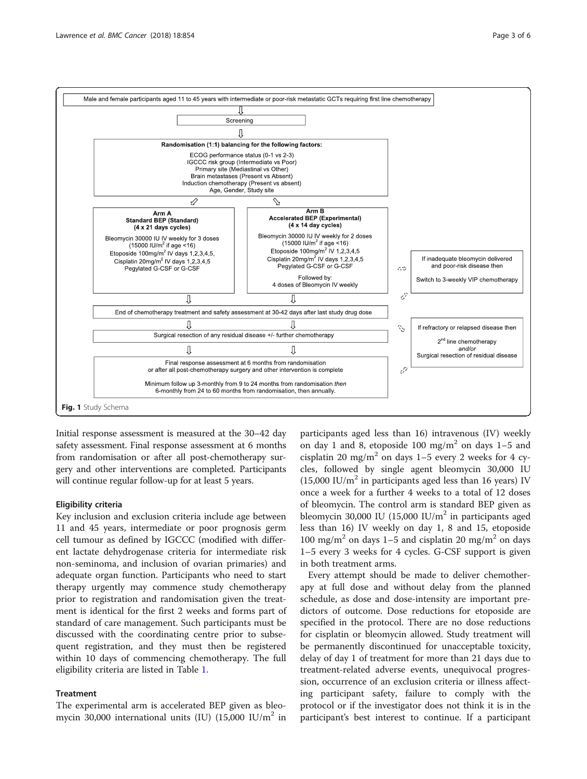<span id="page-2-0"></span>

Initial response assessment is measured at the 30–42 day safety assessment. Final response assessment at 6 months from randomisation or after all post-chemotherapy surgery and other interventions are completed. Participants will continue regular follow-up for at least 5 years.

## Eligibility criteria

Key inclusion and exclusion criteria include age between 11 and 45 years, intermediate or poor prognosis germ cell tumour as defined by IGCCC (modified with different lactate dehydrogenase criteria for intermediate risk non-seminoma, and inclusion of ovarian primaries) and adequate organ function. Participants who need to start therapy urgently may commence study chemotherapy prior to registration and randomisation given the treatment is identical for the first 2 weeks and forms part of standard of care management. Such participants must be discussed with the coordinating centre prior to subsequent registration, and they must then be registered within 10 days of commencing chemotherapy. The full eligibility criteria are listed in Table [1](#page-3-0).

# **Treatment**

The experimental arm is accelerated BEP given as bleomycin 30,000 international units (IU)  $(15,000 \text{ IU/m}^2 \text{ in}$ 

participants aged less than 16) intravenous (IV) weekly on day 1 and 8, etoposide 100 mg/m<sup>2</sup> on days  $1-5$  and cisplatin 20 mg/m<sup>2</sup> on days 1–5 every 2 weeks for 4 cycles, followed by single agent bleomycin 30,000 IU  $(15,000 \text{ IU/m}^2 \text{ in participants aged less than 16 years})$  IV once a week for a further 4 weeks to a total of 12 doses of bleomycin. The control arm is standard BEP given as bleomycin 30,000 IU (15,000 IU/ $m<sup>2</sup>$  in participants aged less than 16) IV weekly on day 1, 8 and 15, etoposide 100 mg/m<sup>2</sup> on days 1–5 and cisplatin 20 mg/m<sup>2</sup> on days 1–5 every 3 weeks for 4 cycles. G-CSF support is given in both treatment arms.

Every attempt should be made to deliver chemotherapy at full dose and without delay from the planned schedule, as dose and dose-intensity are important predictors of outcome. Dose reductions for etoposide are specified in the protocol. There are no dose reductions for cisplatin or bleomycin allowed. Study treatment will be permanently discontinued for unacceptable toxicity, delay of day 1 of treatment for more than 21 days due to treatment-related adverse events, unequivocal progression, occurrence of an exclusion criteria or illness affecting participant safety, failure to comply with the protocol or if the investigator does not think it is in the participant's best interest to continue. If a participant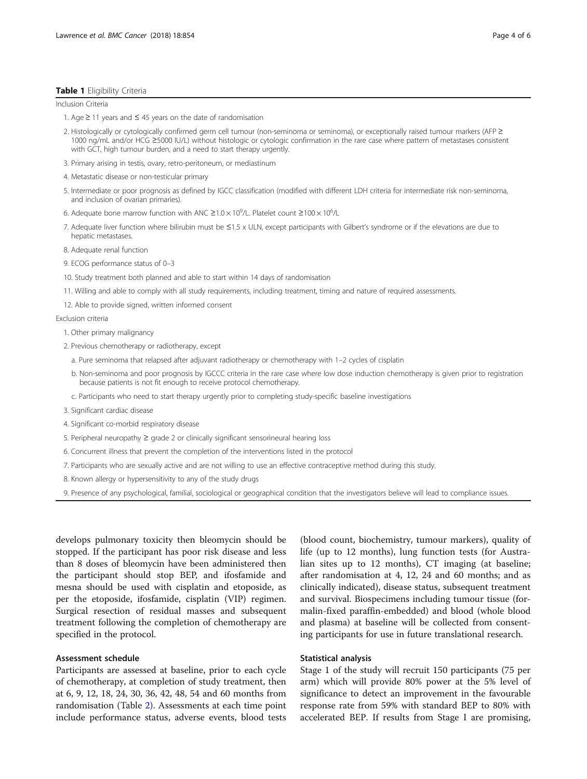#### <span id="page-3-0"></span>Table 1 Eligibility Criteria

Inclusion Criteria

- 1. Age ≥ 11 years and ≤ 45 years on the date of randomisation
- 2. Histologically or cytologically confirmed germ cell tumour (non-seminoma or seminoma), or exceptionally raised tumour markers (AFP ≥ 1000 ng/mL and/or HCG ≥5000 IU/L) without histologic or cytologic confirmation in the rare case where pattern of metastases consistent with GCT, high tumour burden, and a need to start therapy urgently.
- 3. Primary arising in testis, ovary, retro-peritoneum, or mediastinum
- 4. Metastatic disease or non-testicular primary
- 5. Intermediate or poor prognosis as defined by IGCC classification (modified with different LDH criteria for intermediate risk non-seminoma, and inclusion of ovarian primaries).
- 6. Adequate bone marrow function with ANC ≥1.0 × 10<sup>9</sup>/L. Platelet count ≥100 × 10<sup>6</sup>/L
- 7. Adequate liver function where bilirubin must be ≤1.5 x ULN, except participants with Gilbert's syndrome or if the elevations are due to hepatic metastases.
- 8. Adequate renal function
- 9. ECOG performance status of 0–3
- 10. Study treatment both planned and able to start within 14 days of randomisation
- 11. Willing and able to comply with all study requirements, including treatment, timing and nature of required assessments.
- 12. Able to provide signed, written informed consent

Exclusion criteria

- 1. Other primary malignancy
- 2. Previous chemotherapy or radiotherapy, except
	- a. Pure seminoma that relapsed after adjuvant radiotherapy or chemotherapy with 1–2 cycles of cisplatin
	- b. Non-seminoma and poor prognosis by IGCCC criteria in the rare case where low dose induction chemotherapy is given prior to registration because patients is not fit enough to receive protocol chemotherapy.
	- c. Participants who need to start therapy urgently prior to completing study-specific baseline investigations
- 3. Significant cardiac disease
- 4. Significant co-morbid respiratory disease
- 5. Peripheral neuropathy ≥ grade 2 or clinically significant sensorineural hearing loss
- 6. Concurrent illness that prevent the completion of the interventions listed in the protocol
- 7. Participants who are sexually active and are not willing to use an effective contraceptive method during this study.
- 8. Known allergy or hypersensitivity to any of the study drugs
- 9. Presence of any psychological, familial, sociological or geographical condition that the investigators believe will lead to compliance issues.

develops pulmonary toxicity then bleomycin should be stopped. If the participant has poor risk disease and less than 8 doses of bleomycin have been administered then the participant should stop BEP, and ifosfamide and mesna should be used with cisplatin and etoposide, as per the etoposide, ifosfamide, cisplatin (VIP) regimen. Surgical resection of residual masses and subsequent treatment following the completion of chemotherapy are specified in the protocol.

#### Assessment schedule

Participants are assessed at baseline, prior to each cycle of chemotherapy, at completion of study treatment, then at 6, 9, 12, 18, 24, 30, 36, 42, 48, 54 and 60 months from randomisation (Table [2](#page-4-0)). Assessments at each time point include performance status, adverse events, blood tests

(blood count, biochemistry, tumour markers), quality of life (up to 12 months), lung function tests (for Australian sites up to 12 months), CT imaging (at baseline; after randomisation at 4, 12, 24 and 60 months; and as clinically indicated), disease status, subsequent treatment and survival. Biospecimens including tumour tissue (formalin-fixed paraffin-embedded) and blood (whole blood and plasma) at baseline will be collected from consenting participants for use in future translational research.

# Statistical analysis

Stage 1 of the study will recruit 150 participants (75 per arm) which will provide 80% power at the 5% level of significance to detect an improvement in the favourable response rate from 59% with standard BEP to 80% with accelerated BEP. If results from Stage I are promising,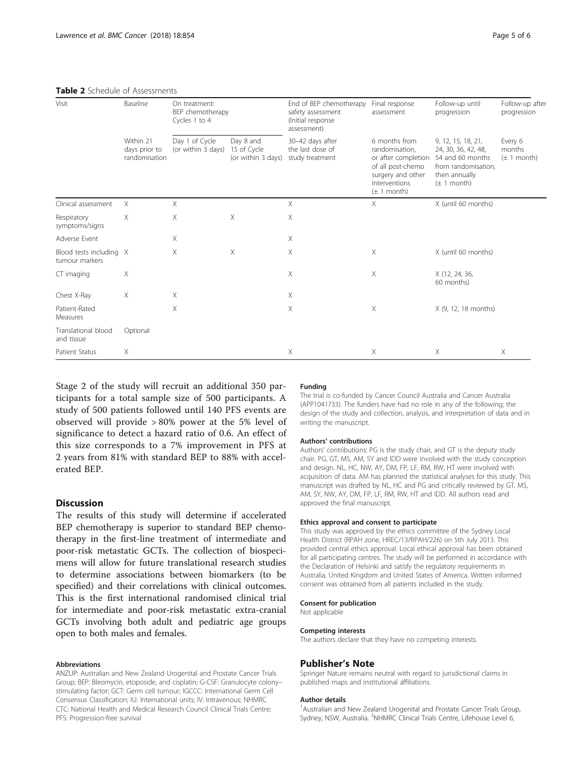#### <span id="page-4-0"></span>Table 2 Schedule of Assessments

| Visit                                     | Baseline<br>Within 21<br>days prior to<br>randomisation | On treatment:<br>BEP chemotherapy<br>Cycles 1 to 4 |                                                | End of BEP chemotherapy<br>safety assessment<br>(Initial response<br>assessment) | Final response<br>assessment                                                                                                         | Follow-up until<br>progression                                                                                           | Follow-up after<br>progression       |
|-------------------------------------------|---------------------------------------------------------|----------------------------------------------------|------------------------------------------------|----------------------------------------------------------------------------------|--------------------------------------------------------------------------------------------------------------------------------------|--------------------------------------------------------------------------------------------------------------------------|--------------------------------------|
|                                           |                                                         | Day 1 of Cycle<br>(or within 3 days)               | Day 8 and<br>15 of Cycle<br>(or within 3 days) | 30-42 days after<br>the last dose of<br>study treatment                          | 6 months from<br>randomisation.<br>or after completion<br>of all post-chemo<br>surgery and other<br>interventions<br>$(\pm 1$ month) | 9, 12, 15, 18, 21,<br>24, 30, 36, 42, 48,<br>54 and 60 months<br>from randomisation,<br>then annually<br>$(\pm 1$ month) | Every 6<br>months<br>$(\pm 1$ month) |
| Clinical assessment                       | $\times$                                                | $\times$                                           |                                                | $\times$                                                                         | $\times$                                                                                                                             | X (until 60 months)                                                                                                      |                                      |
| Respiratory<br>symptoms/signs             | X                                                       | Χ                                                  | X                                              | Χ                                                                                |                                                                                                                                      |                                                                                                                          |                                      |
| Adverse Event                             |                                                         | Χ                                                  |                                                | Χ                                                                                |                                                                                                                                      |                                                                                                                          |                                      |
| Blood tests including X<br>tumour markers |                                                         | $\times$                                           | $\times$                                       | $\times$                                                                         | $\times$                                                                                                                             | X (until 60 months)                                                                                                      |                                      |
| CT imaging                                | X                                                       |                                                    |                                                | $\times$                                                                         | $\times$                                                                                                                             | X (12, 24, 36,<br>60 months)                                                                                             |                                      |
| Chest X-Ray                               | Χ                                                       | Χ                                                  |                                                | Χ                                                                                |                                                                                                                                      |                                                                                                                          |                                      |
| Patient-Rated<br>Measures                 |                                                         | Χ                                                  |                                                | $\times$                                                                         | X                                                                                                                                    | X (9, 12, 18 months)                                                                                                     |                                      |
| Translational blood<br>and tissue         | Optional                                                |                                                    |                                                |                                                                                  |                                                                                                                                      |                                                                                                                          |                                      |
| Patient Status                            | Χ                                                       |                                                    |                                                | $\times$                                                                         | X                                                                                                                                    | $\times$                                                                                                                 | $\times$                             |

Stage 2 of the study will recruit an additional 350 participants for a total sample size of 500 participants. A study of 500 patients followed until 140 PFS events are observed will provide > 80% power at the 5% level of significance to detect a hazard ratio of 0.6. An effect of this size corresponds to a 7% improvement in PFS at 2 years from 81% with standard BEP to 88% with accelerated BEP.

## **Discussion**

The results of this study will determine if accelerated BEP chemotherapy is superior to standard BEP chemotherapy in the first-line treatment of intermediate and poor-risk metastatic GCTs. The collection of biospecimens will allow for future translational research studies to determine associations between biomarkers (to be specified) and their correlations with clinical outcomes. This is the first international randomised clinical trial for intermediate and poor-risk metastatic extra-cranial GCTs involving both adult and pediatric age groups open to both males and females.

#### Abbreviations

ANZUP: Australian and New Zealand Urogenital and Prostate Cancer Trials Group; BEP: Bleomycin, etoposide, and cisplatin; G-CSF: Granulocyte colony– stimulating factor; GCT: Germ cell tumour; IGCCC: International Germ Cell Consensus Classification; IU: International units; IV: Intravenous; NHMRC CTC: National Health and Medical Research Council Clinical Trials Centre; PFS: Progression-free survival

#### Funding

The trial is co-funded by Cancer Council Australia and Cancer Australia (APP1041733). The funders have had no role in any of the following; the design of the study and collection, analysis, and interpretation of data and in writing the manuscript.

#### Authors' contributions

Authors' contributions: PG is the study chair, and GT is the deputy study chair. PG, GT, MS, AM, SY and IDD were involved with the study conception and design. NL, HC, NW, AY, DM, FP, LF, RM, RW, HT were involved with acquisition of data. AM has planned the statistical analyses for this study. This manuscript was drafted by NL, HC and PG and critically reviewed by GT, MS, AM, SY, NW, AY, DM, FP, LF, RM, RW, HT and IDD. All authors read and approved the final manuscript.

# Ethics approval and consent to participate

This study was approved by the ethics committee of the Sydney Local Health District (RPAH zone, HREC/13/RPAH/226) on 5th July 2013. This provided central ethics approval. Local ethical approval has been obtained for all participating centres. The study will be performed in accordance with the Declaration of Helsinki and satisfy the regulatory requirements in Australia, United Kingdom and United States of America. Written informed consent was obtained from all patients included in the study.

#### Consent for publication

Not applicable

#### Competing interests

The authors declare that they have no competing interests.

#### Publisher's Note

Springer Nature remains neutral with regard to jurisdictional claims in published maps and institutional affiliations.

#### Author details

<sup>1</sup> Australian and New Zealand Urogenital and Prostate Cancer Trials Group, Sydney, NSW, Australia. <sup>2</sup>NHMRC Clinical Trials Centre, Lifehouse Level 6